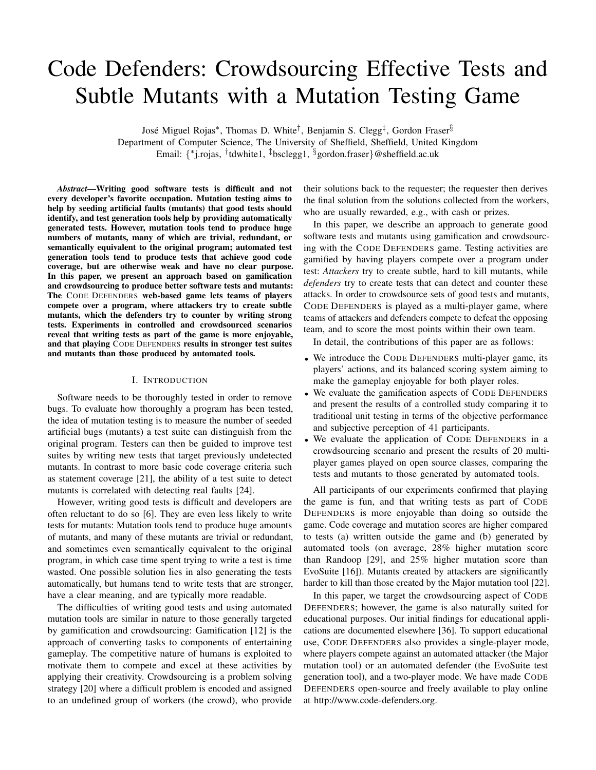# Code Defenders: Crowdsourcing Effective Tests and Subtle Mutants with a Mutation Testing Game

José Miguel Rojas\*, Thomas D. White $^\dagger$ , Benjamin S. Clegg $^\ddagger$ , Gordon Fraser $^\S$ Department of Computer Science, The University of Sheffield, Sheffield, United Kingdom Email: { ∗ j.rojas, † tdwhite1, ‡bsclegg1, §gordon.fraser}@sheffield.ac.uk

*Abstract*—Writing good software tests is difficult and not every developer's favorite occupation. Mutation testing aims to help by seeding artificial faults (mutants) that good tests should identify, and test generation tools help by providing automatically generated tests. However, mutation tools tend to produce huge numbers of mutants, many of which are trivial, redundant, or semantically equivalent to the original program; automated test generation tools tend to produce tests that achieve good code coverage, but are otherwise weak and have no clear purpose. In this paper, we present an approach based on gamification and crowdsourcing to produce better software tests and mutants: The CODE DEFENDERS web-based game lets teams of players compete over a program, where attackers try to create subtle mutants, which the defenders try to counter by writing strong tests. Experiments in controlled and crowdsourced scenarios reveal that writing tests as part of the game is more enjoyable, and that playing CODE DEFENDERS results in stronger test suites and mutants than those produced by automated tools.

#### I. INTRODUCTION

Software needs to be thoroughly tested in order to remove bugs. To evaluate how thoroughly a program has been tested, the idea of mutation testing is to measure the number of seeded artificial bugs (mutants) a test suite can distinguish from the original program. Testers can then be guided to improve test suites by writing new tests that target previously undetected mutants. In contrast to more basic code coverage criteria such as statement coverage [\[21\]](#page-10-0), the ability of a test suite to detect mutants is correlated with detecting real faults [\[24\]](#page-10-1).

However, writing good tests is difficult and developers are often reluctant to do so [\[6\]](#page-10-2). They are even less likely to write tests for mutants: Mutation tools tend to produce huge amounts of mutants, and many of these mutants are trivial or redundant, and sometimes even semantically equivalent to the original program, in which case time spent trying to write a test is time wasted. One possible solution lies in also generating the tests automatically, but humans tend to write tests that are stronger, have a clear meaning, and are typically more readable.

The difficulties of writing good tests and using automated mutation tools are similar in nature to those generally targeted by gamification and crowdsourcing: Gamification [\[12\]](#page-10-3) is the approach of converting tasks to components of entertaining gameplay. The competitive nature of humans is exploited to motivate them to compete and excel at these activities by applying their creativity. Crowdsourcing is a problem solving strategy [\[20\]](#page-10-4) where a difficult problem is encoded and assigned to an undefined group of workers (the crowd), who provide

their solutions back to the requester; the requester then derives the final solution from the solutions collected from the workers, who are usually rewarded, e.g., with cash or prizes.

In this paper, we describe an approach to generate good software tests and mutants using gamification and crowdsourcing with the CODE DEFENDERS game. Testing activities are gamified by having players compete over a program under test: *Attackers* try to create subtle, hard to kill mutants, while *defenders* try to create tests that can detect and counter these attacks. In order to crowdsource sets of good tests and mutants, CODE DEFENDERS is played as a multi-player game, where teams of attackers and defenders compete to defeat the opposing team, and to score the most points within their own team.

In detail, the contributions of this paper are as follows:

- We introduce the CODE DEFENDERS multi-player game, its players' actions, and its balanced scoring system aiming to make the gameplay enjoyable for both player roles.
- We evaluate the gamification aspects of CODE DEFENDERS and present the results of a controlled study comparing it to traditional unit testing in terms of the objective performance and subjective perception of 41 participants.
- We evaluate the application of CODE DEFENDERS in a crowdsourcing scenario and present the results of 20 multiplayer games played on open source classes, comparing the tests and mutants to those generated by automated tools.

All participants of our experiments confirmed that playing the game is fun, and that writing tests as part of CODE DEFENDERS is more enjoyable than doing so outside the game. Code coverage and mutation scores are higher compared to tests (a) written outside the game and (b) generated by automated tools (on average, 28% higher mutation score than Randoop [\[29\]](#page-10-5), and 25% higher mutation score than EvoSuite [\[16\]](#page-10-6)). Mutants created by attackers are significantly harder to kill than those created by the Major mutation tool [\[22\]](#page-10-7).

In this paper, we target the crowdsourcing aspect of CODE DEFENDERS; however, the game is also naturally suited for educational purposes. Our initial findings for educational applications are documented elsewhere [\[36\]](#page-11-0). To support educational use, CODE DEFENDERS also provides a single-player mode, where players compete against an automated attacker (the Major mutation tool) or an automated defender (the EvoSuite test generation tool), and a two-player mode. We have made CODE DEFENDERS open-source and freely available to play online at [http://www.code-defenders.org.](http://www.code-defenders.org)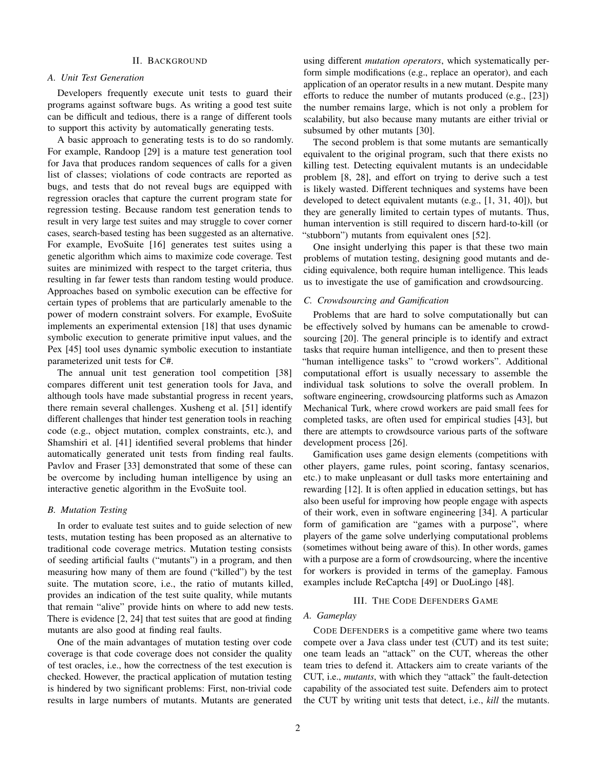#### II. BACKGROUND

## *A. Unit Test Generation*

Developers frequently execute unit tests to guard their programs against software bugs. As writing a good test suite can be difficult and tedious, there is a range of different tools to support this activity by automatically generating tests.

A basic approach to generating tests is to do so randomly. For example, Randoop [\[29\]](#page-10-5) is a mature test generation tool for Java that produces random sequences of calls for a given list of classes; violations of code contracts are reported as bugs, and tests that do not reveal bugs are equipped with regression oracles that capture the current program state for regression testing. Because random test generation tends to result in very large test suites and may struggle to cover corner cases, search-based testing has been suggested as an alternative. For example, EvoSuite [\[16\]](#page-10-6) generates test suites using a genetic algorithm which aims to maximize code coverage. Test suites are minimized with respect to the target criteria, thus resulting in far fewer tests than random testing would produce. Approaches based on symbolic execution can be effective for certain types of problems that are particularly amenable to the power of modern constraint solvers. For example, EvoSuite implements an experimental extension [\[18\]](#page-10-8) that uses dynamic symbolic execution to generate primitive input values, and the Pex [\[45\]](#page-11-1) tool uses dynamic symbolic execution to instantiate parameterized unit tests for C#.

The annual unit test generation tool competition [\[38\]](#page-11-2) compares different unit test generation tools for Java, and although tools have made substantial progress in recent years, there remain several challenges. Xusheng et al. [\[51\]](#page-11-3) identify different challenges that hinder test generation tools in reaching code (e.g., object mutation, complex constraints, etc.), and Shamshiri et al. [\[41\]](#page-11-4) identified several problems that hinder automatically generated unit tests from finding real faults. Pavlov and Fraser [\[33\]](#page-11-5) demonstrated that some of these can be overcome by including human intelligence by using an interactive genetic algorithm in the EvoSuite tool.

#### *B. Mutation Testing*

In order to evaluate test suites and to guide selection of new tests, mutation testing has been proposed as an alternative to traditional code coverage metrics. Mutation testing consists of seeding artificial faults ("mutants") in a program, and then measuring how many of them are found ("killed") by the test suite. The mutation score, i.e., the ratio of mutants killed, provides an indication of the test suite quality, while mutants that remain "alive" provide hints on where to add new tests. There is evidence [\[2,](#page-10-9) [24\]](#page-10-1) that test suites that are good at finding mutants are also good at finding real faults.

One of the main advantages of mutation testing over code coverage is that code coverage does not consider the quality of test oracles, i.e., how the correctness of the test execution is checked. However, the practical application of mutation testing is hindered by two significant problems: First, non-trivial code results in large numbers of mutants. Mutants are generated using different *mutation operators*, which systematically perform simple modifications (e.g., replace an operator), and each application of an operator results in a new mutant. Despite many efforts to reduce the number of mutants produced (e.g., [\[23\]](#page-10-10)) the number remains large, which is not only a problem for scalability, but also because many mutants are either trivial or subsumed by other mutants [\[30\]](#page-11-6).

The second problem is that some mutants are semantically equivalent to the original program, such that there exists no killing test. Detecting equivalent mutants is an undecidable problem [\[8,](#page-10-11) [28\]](#page-10-12), and effort on trying to derive such a test is likely wasted. Different techniques and systems have been developed to detect equivalent mutants (e.g., [\[1,](#page-10-13) [31,](#page-11-7) [40\]](#page-11-8)), but they are generally limited to certain types of mutants. Thus, human intervention is still required to discern hard-to-kill (or "stubborn") mutants from equivalent ones [\[52\]](#page-11-9).

One insight underlying this paper is that these two main problems of mutation testing, designing good mutants and deciding equivalence, both require human intelligence. This leads us to investigate the use of gamification and crowdsourcing.

## *C. Crowdsourcing and Gamification*

Problems that are hard to solve computationally but can be effectively solved by humans can be amenable to crowdsourcing [\[20\]](#page-10-4). The general principle is to identify and extract tasks that require human intelligence, and then to present these "human intelligence tasks" to "crowd workers". Additional computational effort is usually necessary to assemble the individual task solutions to solve the overall problem. In software engineering, crowdsourcing platforms such as Amazon Mechanical Turk, where crowd workers are paid small fees for completed tasks, are often used for empirical studies [\[43\]](#page-11-10), but there are attempts to crowdsource various parts of the software development process [\[26\]](#page-10-14).

Gamification uses game design elements (competitions with other players, game rules, point scoring, fantasy scenarios, etc.) to make unpleasant or dull tasks more entertaining and rewarding [\[12\]](#page-10-3). It is often applied in education settings, but has also been useful for improving how people engage with aspects of their work, even in software engineering [\[34\]](#page-11-11). A particular form of gamification are "games with a purpose", where players of the game solve underlying computational problems (sometimes without being aware of this). In other words, games with a purpose are a form of crowdsourcing, where the incentive for workers is provided in terms of the gameplay. Famous examples include ReCaptcha [\[49\]](#page-11-12) or DuoLingo [\[48\]](#page-11-13).

#### III. THE CODE DEFENDERS GAME

## *A. Gameplay*

CODE DEFENDERS is a competitive game where two teams compete over a Java class under test (CUT) and its test suite; one team leads an "attack" on the CUT, whereas the other team tries to defend it. Attackers aim to create variants of the CUT, i.e., *mutants*, with which they "attack" the fault-detection capability of the associated test suite. Defenders aim to protect the CUT by writing unit tests that detect, i.e., *kill* the mutants.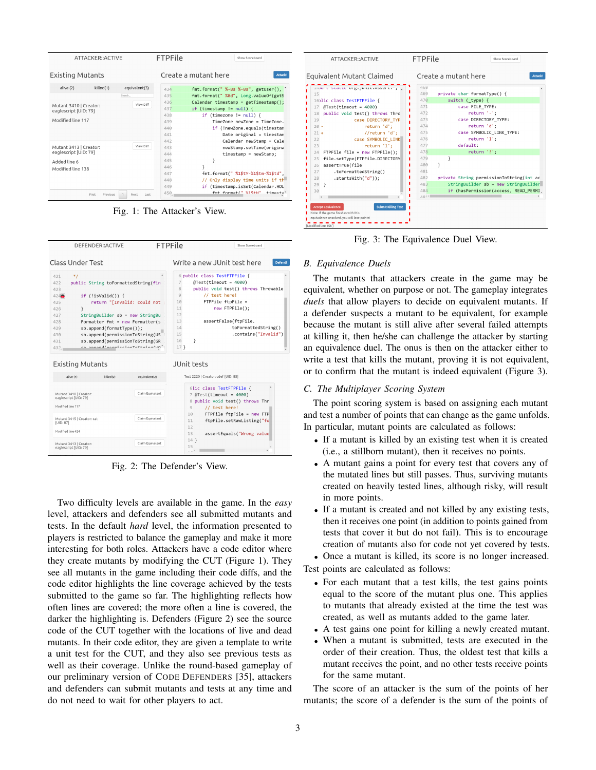<span id="page-2-0"></span>

|                                                 | ATTACKER::ACTIVE  |                   | <b>FTPFile</b>                         | Show Scoreboard                       |  |  |  |  |  |
|-------------------------------------------------|-------------------|-------------------|----------------------------------------|---------------------------------------|--|--|--|--|--|
| Existing Mutants                                |                   |                   | Create a mutant here<br><b>Attack!</b> |                                       |  |  |  |  |  |
| alive (2)                                       | killed(1)         | equivalent(3)     | 434                                    | $fmt.format(" %-8s %-8s", getUser(),$ |  |  |  |  |  |
|                                                 |                   | Search            | 435                                    | fmt.format("%8d", Long.valueOf(getS   |  |  |  |  |  |
|                                                 |                   | View Diff         | 436                                    | Calendar timestamp = getTimestamp();  |  |  |  |  |  |
| Mutant 3410   Creator:<br>eaglescript [UID: 79] |                   |                   | 437                                    | if (timestamp != $null)$ {            |  |  |  |  |  |
|                                                 |                   |                   | 438                                    | if (timezone $!=$ null) {             |  |  |  |  |  |
| Modified line 117                               |                   |                   | 439                                    | TimeZone newZone = TimeZone.          |  |  |  |  |  |
|                                                 |                   |                   | 440                                    | if (!newZone.equals(timestam          |  |  |  |  |  |
|                                                 |                   |                   | 441                                    | Date original = timestam              |  |  |  |  |  |
|                                                 |                   |                   | 442                                    | Calendar newStamp = Cale              |  |  |  |  |  |
| Mutant 3413   Creator:                          |                   | View Diff         | 443                                    | newStamp.setTime(origina              |  |  |  |  |  |
| eaglescript [UID: 79]                           |                   |                   | 444                                    | $time stamp = newStamp;$              |  |  |  |  |  |
| Added line 6                                    |                   |                   | 445                                    | Y                                     |  |  |  |  |  |
| Modified line 138                               |                   |                   | 446                                    | ł                                     |  |  |  |  |  |
|                                                 |                   |                   | 447                                    | fmt.format("%1\$tY-%1\$tm-%1\$td",    |  |  |  |  |  |
|                                                 |                   |                   | 448                                    | // Only display time units if the     |  |  |  |  |  |
|                                                 |                   |                   | 449                                    | if (timestamp.isSet(Calendar.HOL      |  |  |  |  |  |
|                                                 | First<br>Previous | Next<br>Lash<br>1 | 450                                    | fmt format(" %1\$tH" timesta"         |  |  |  |  |  |

Fig. 1: The Attacker's View.

<span id="page-2-1"></span>

| DEFENDER::ACTIVE                                                                                                                                                                                                                                                                                                                                                                                                          | <b>FTPFile</b>                                                                          | Show Scoreboard                                                                                                                                                                                                                |  |  |  |  |  |  |
|---------------------------------------------------------------------------------------------------------------------------------------------------------------------------------------------------------------------------------------------------------------------------------------------------------------------------------------------------------------------------------------------------------------------------|-----------------------------------------------------------------------------------------|--------------------------------------------------------------------------------------------------------------------------------------------------------------------------------------------------------------------------------|--|--|--|--|--|--|
| Class Under Test                                                                                                                                                                                                                                                                                                                                                                                                          |                                                                                         | Write a new JUnit test here<br>Defend!                                                                                                                                                                                         |  |  |  |  |  |  |
| $*$<br>421<br>422<br>public String toFormattedString(fin<br>423<br>424<br>if $(!isValid())$ {<br>return "[Invalid: could not<br>425<br>426<br>λ<br>StringBuilder sb = new StringBu<br>427<br>Formatter $fmt = new Formatter(s)$<br>428<br>429<br>sb.append(formatType());<br>sb.append(permissionToString(US)<br>430<br>sb.append(permissionToString(GR<br>431<br>$ch$ annond/nonmicrianTaCtaing/LIO <sup>*</sup><br>432, | $\overline{7}$<br>8<br>$\circ$<br>10<br>11<br>12<br>13<br>14<br>15<br>ł<br>16<br>$17$ } | 6 public class TestFTPFile {<br>$@Test$ (timeout = 4000)<br>public void test() throws Throwable<br>// test here!<br>FTPFile ftpFile =<br>new FTPFile();<br>assertFalse(ftpFile.<br>toFormattedString()<br>.contains("Invalid") |  |  |  |  |  |  |
| <b>Existing Mutants</b>                                                                                                                                                                                                                                                                                                                                                                                                   | JUnit tests                                                                             |                                                                                                                                                                                                                                |  |  |  |  |  |  |
| killed(0)<br>alive (4)                                                                                                                                                                                                                                                                                                                                                                                                    | equivalent(2)                                                                           | Test 2220   Creator: cdef [UID: 85]                                                                                                                                                                                            |  |  |  |  |  |  |
| Mutant 3410   Creator:<br>eaglescript [UID: 79]<br>Modified line 117                                                                                                                                                                                                                                                                                                                                                      | Claim Equivalent<br>$\circ$                                                             | 6lic class TestFTPFile {<br>$7$ @Test(timeout = 4000)<br>8 public void test() throws Thr<br>// test here!                                                                                                                      |  |  |  |  |  |  |
| Mutant 3415   Creator: cat<br><b>[UID: 87]</b>                                                                                                                                                                                                                                                                                                                                                                            | 10<br>Claim Equivalent<br>11<br>12                                                      | FTPFile ftpFile = new FTP<br>ftpFile.setRawListing("fo                                                                                                                                                                         |  |  |  |  |  |  |
| Modified line 424                                                                                                                                                                                                                                                                                                                                                                                                         | 13                                                                                      | assertEquals("Wrong value                                                                                                                                                                                                      |  |  |  |  |  |  |

Fig. 2: The Defender's View.

Two difficulty levels are available in the game. In the *easy* level, attackers and defenders see all submitted mutants and tests. In the default *hard* level, the information presented to players is restricted to balance the gameplay and make it more interesting for both roles. Attackers have a code editor where they create mutants by modifying the CUT [\(Figure 1\)](#page-2-0). They see all mutants in the game including their code diffs, and the code editor highlights the line coverage achieved by the tests submitted to the game so far. The highlighting reflects how often lines are covered; the more often a line is covered, the darker the highlighting is. Defenders [\(Figure 2\)](#page-2-1) see the source code of the CUT together with the locations of live and dead mutants. In their code editor, they are given a template to write a unit test for the CUT, and they also see previous tests as well as their coverage. Unlike the round-based gameplay of our preliminary version of CODE DEFENDERS [\[35\]](#page-11-14), attackers and defenders can submit mutants and tests at any time and do not need to wait for other players to act.

<span id="page-2-2"></span>

Fig. 3: The Equivalence Duel View.

## *B. Equivalence Duels*

The mutants that attackers create in the game may be equivalent, whether on purpose or not. The gameplay integrates *duels* that allow players to decide on equivalent mutants. If a defender suspects a mutant to be equivalent, for example because the mutant is still alive after several failed attempts at killing it, then he/she can challenge the attacker by starting an equivalence duel. The onus is then on the attacker either to write a test that kills the mutant, proving it is not equivalent, or to confirm that the mutant is indeed equivalent [\(Figure 3\)](#page-2-2).

#### *C. The Multiplayer Scoring System*

The point scoring system is based on assigning each mutant and test a number of points that can change as the game unfolds. In particular, mutant points are calculated as follows:

- If a mutant is killed by an existing test when it is created (i.e., a stillborn mutant), then it receives no points.
- A mutant gains a point for every test that covers any of the mutated lines but still passes. Thus, surviving mutants created on heavily tested lines, although risky, will result in more points.
- If a mutant is created and not killed by any existing tests, then it receives one point (in addition to points gained from tests that cover it but do not fail). This is to encourage creation of mutants also for code not yet covered by tests.

• Once a mutant is killed, its score is no longer increased.

Test points are calculated as follows:

- For each mutant that a test kills, the test gains points equal to the score of the mutant plus one. This applies to mutants that already existed at the time the test was created, as well as mutants added to the game later.
- A test gains one point for killing a newly created mutant.
- When a mutant is submitted, tests are executed in the order of their creation. Thus, the oldest test that kills a mutant receives the point, and no other tests receive points for the same mutant.

The score of an attacker is the sum of the points of her mutants; the score of a defender is the sum of the points of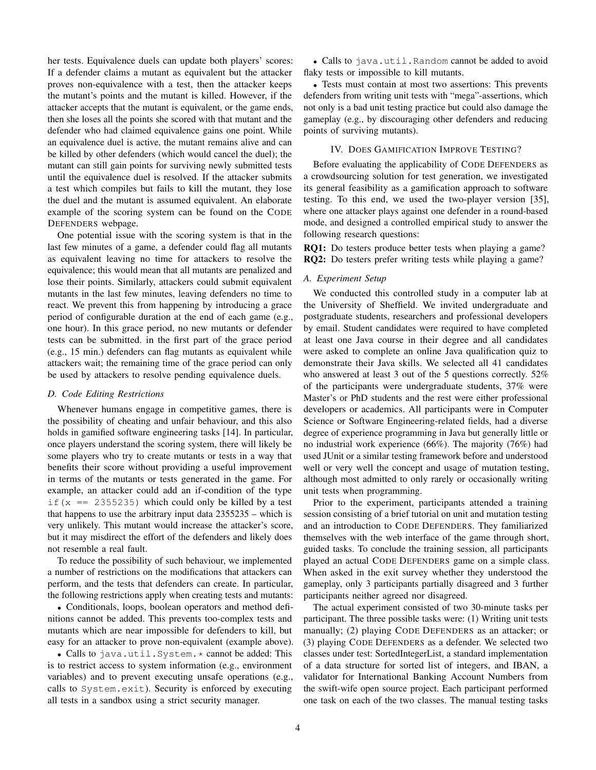her tests. Equivalence duels can update both players' scores: If a defender claims a mutant as equivalent but the attacker proves non-equivalence with a test, then the attacker keeps the mutant's points and the mutant is killed. However, if the attacker accepts that the mutant is equivalent, or the game ends, then she loses all the points she scored with that mutant and the defender who had claimed equivalence gains one point. While an equivalence duel is active, the mutant remains alive and can be killed by other defenders (which would cancel the duel); the mutant can still gain points for surviving newly submitted tests until the equivalence duel is resolved. If the attacker submits a test which compiles but fails to kill the mutant, they lose the duel and the mutant is assumed equivalent. An elaborate example of the scoring system can be found on the CODE DEFENDERS webpage.

One potential issue with the scoring system is that in the last few minutes of a game, a defender could flag all mutants as equivalent leaving no time for attackers to resolve the equivalence; this would mean that all mutants are penalized and lose their points. Similarly, attackers could submit equivalent mutants in the last few minutes, leaving defenders no time to react. We prevent this from happening by introducing a grace period of configurable duration at the end of each game (e.g., one hour). In this grace period, no new mutants or defender tests can be submitted. in the first part of the grace period (e.g., 15 min.) defenders can flag mutants as equivalent while attackers wait; the remaining time of the grace period can only be used by attackers to resolve pending equivalence duels.

#### *D. Code Editing Restrictions*

Whenever humans engage in competitive games, there is the possibility of cheating and unfair behaviour, and this also holds in gamified software engineering tasks [\[14\]](#page-10-15). In particular, once players understand the scoring system, there will likely be some players who try to create mutants or tests in a way that benefits their score without providing a useful improvement in terms of the mutants or tests generated in the game. For example, an attacker could add an if-condition of the type if ( $x = 2355235$ ) which could only be killed by a test that happens to use the arbitrary input data 2355235 – which is very unlikely. This mutant would increase the attacker's score, but it may misdirect the effort of the defenders and likely does not resemble a real fault.

To reduce the possibility of such behaviour, we implemented a number of restrictions on the modifications that attackers can perform, and the tests that defenders can create. In particular, the following restrictions apply when creating tests and mutants:

• Conditionals, loops, boolean operators and method definitions cannot be added. This prevents too-complex tests and mutants which are near impossible for defenders to kill, but easy for an attacker to prove non-equivalent (example above).

• Calls to java.util.System.\* cannot be added: This is to restrict access to system information (e.g., environment variables) and to prevent executing unsafe operations (e.g., calls to System.exit). Security is enforced by executing all tests in a sandbox using a strict security manager.

• Calls to java.util.Random cannot be added to avoid flaky tests or impossible to kill mutants.

• Tests must contain at most two assertions: This prevents defenders from writing unit tests with "mega"-assertions, which not only is a bad unit testing practice but could also damage the gameplay (e.g., by discouraging other defenders and reducing points of surviving mutants).

### IV. DOES GAMIFICATION IMPROVE TESTING?

Before evaluating the applicability of CODE DEFENDERS as a crowdsourcing solution for test generation, we investigated its general feasibility as a gamification approach to software testing. To this end, we used the two-player version [\[35\]](#page-11-14), where one attacker plays against one defender in a round-based mode, and designed a controlled empirical study to answer the following research questions:

RQ1: Do testers produce better tests when playing a game? RQ2: Do testers prefer writing tests while playing a game?

## *A. Experiment Setup*

We conducted this controlled study in a computer lab at the University of Sheffield. We invited undergraduate and postgraduate students, researchers and professional developers by email. Student candidates were required to have completed at least one Java course in their degree and all candidates were asked to complete an online Java qualification quiz to demonstrate their Java skills. We selected all 41 candidates who answered at least 3 out of the 5 questions correctly. 52% of the participants were undergraduate students, 37% were Master's or PhD students and the rest were either professional developers or academics. All participants were in Computer Science or Software Engineering-related fields, had a diverse degree of experience programming in Java but generally little or no industrial work experience (66%). The majority (76%) had used JUnit or a similar testing framework before and understood well or very well the concept and usage of mutation testing, although most admitted to only rarely or occasionally writing unit tests when programming.

Prior to the experiment, participants attended a training session consisting of a brief tutorial on unit and mutation testing and an introduction to CODE DEFENDERS. They familiarized themselves with the web interface of the game through short, guided tasks. To conclude the training session, all participants played an actual CODE DEFENDERS game on a simple class. When asked in the exit survey whether they understood the gameplay, only 3 participants partially disagreed and 3 further participants neither agreed nor disagreed.

The actual experiment consisted of two 30-minute tasks per participant. The three possible tasks were: (1) Writing unit tests manually; (2) playing CODE DEFENDERS as an attacker; or (3) playing CODE DEFENDERS as a defender. We selected two classes under test: SortedIntegerList, a standard implementation of a data structure for sorted list of integers, and IBAN, a validator for International Banking Account Numbers from the swift-wife open source project. Each participant performed one task on each of the two classes. The manual testing tasks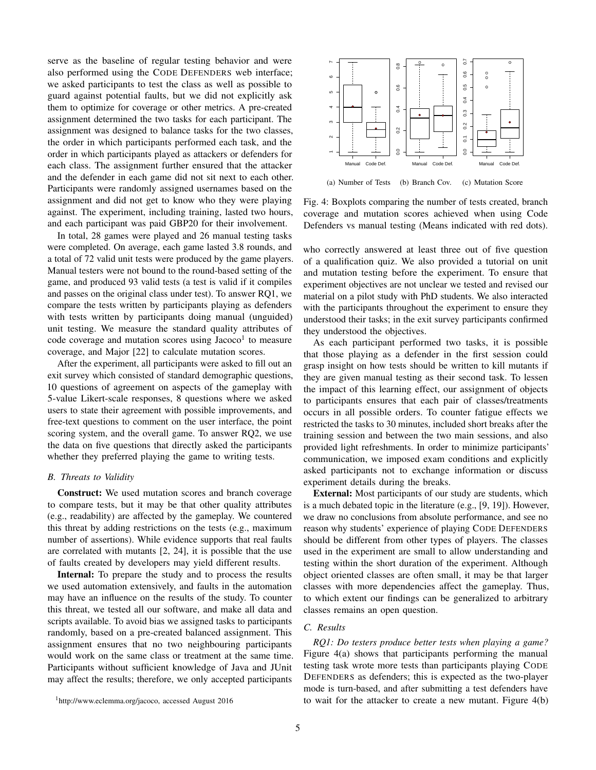serve as the baseline of regular testing behavior and were also performed using the CODE DEFENDERS web interface; we asked participants to test the class as well as possible to guard against potential faults, but we did not explicitly ask them to optimize for coverage or other metrics. A pre-created assignment determined the two tasks for each participant. The assignment was designed to balance tasks for the two classes, the order in which participants performed each task, and the order in which participants played as attackers or defenders for each class. The assignment further ensured that the attacker and the defender in each game did not sit next to each other. Participants were randomly assigned usernames based on the assignment and did not get to know who they were playing against. The experiment, including training, lasted two hours, and each participant was paid GBP20 for their involvement.

In total, 28 games were played and 26 manual testing tasks were completed. On average, each game lasted 3.8 rounds, and a total of 72 valid unit tests were produced by the game players. Manual testers were not bound to the round-based setting of the game, and produced 93 valid tests (a test is valid if it compiles and passes on the original class under test). To answer RQ1, we compare the tests written by participants playing as defenders with tests written by participants doing manual (unguided) unit testing. We measure the standard quality attributes of code coverage and mutation scores using Jacoco<sup>[1](#page-4-0)</sup> to measure coverage, and Major [\[22\]](#page-10-7) to calculate mutation scores.

After the experiment, all participants were asked to fill out an exit survey which consisted of standard demographic questions, 10 questions of agreement on aspects of the gameplay with 5-value Likert-scale responses, 8 questions where we asked users to state their agreement with possible improvements, and free-text questions to comment on the user interface, the point scoring system, and the overall game. To answer RQ2, we use the data on five questions that directly asked the participants whether they preferred playing the game to writing tests.

#### <span id="page-4-4"></span>*B. Threats to Validity*

Construct: We used mutation scores and branch coverage to compare tests, but it may be that other quality attributes (e.g., readability) are affected by the gameplay. We countered this threat by adding restrictions on the tests (e.g., maximum number of assertions). While evidence supports that real faults are correlated with mutants [\[2,](#page-10-9) [24\]](#page-10-1), it is possible that the use of faults created by developers may yield different results.

Internal: To prepare the study and to process the results we used automation extensively, and faults in the automation may have an influence on the results of the study. To counter this threat, we tested all our software, and make all data and scripts available. To avoid bias we assigned tasks to participants randomly, based on a pre-created balanced assignment. This assignment ensures that no two neighbouring participants would work on the same class or treatment at the same time. Participants without sufficient knowledge of Java and JUnit may affect the results; therefore, we only accepted participants

<span id="page-4-0"></span>

<span id="page-4-1"></span>

<span id="page-4-3"></span><span id="page-4-2"></span>Fig. 4: Boxplots comparing the number of tests created, branch coverage and mutation scores achieved when using Code Defenders vs manual testing (Means indicated with red dots).

who correctly answered at least three out of five question of a qualification quiz. We also provided a tutorial on unit and mutation testing before the experiment. To ensure that experiment objectives are not unclear we tested and revised our material on a pilot study with PhD students. We also interacted with the participants throughout the experiment to ensure they understood their tasks; in the exit survey participants confirmed they understood the objectives.

As each participant performed two tasks, it is possible that those playing as a defender in the first session could grasp insight on how tests should be written to kill mutants if they are given manual testing as their second task. To lessen the impact of this learning effect, our assignment of objects to participants ensures that each pair of classes/treatments occurs in all possible orders. To counter fatigue effects we restricted the tasks to 30 minutes, included short breaks after the training session and between the two main sessions, and also provided light refreshments. In order to minimize participants' communication, we imposed exam conditions and explicitly asked participants not to exchange information or discuss experiment details during the breaks.

External: Most participants of our study are students, which is a much debated topic in the literature (e.g., [\[9,](#page-10-16) [19\]](#page-10-17)). However, we draw no conclusions from absolute performance, and see no reason why students' experience of playing CODE DEFENDERS should be different from other types of players. The classes used in the experiment are small to allow understanding and testing within the short duration of the experiment. Although object oriented classes are often small, it may be that larger classes with more dependencies affect the gameplay. Thus, to which extent our findings can be generalized to arbitrary classes remains an open question.

## *C. Results*

*RQ1: Do testers produce better tests when playing a game?* Figure [4\(a\)](#page-4-1) shows that participants performing the manual testing task wrote more tests than participants playing CODE DEFENDERS as defenders; this is expected as the two-player mode is turn-based, and after submitting a test defenders have to wait for the attacker to create a new mutant. Figure [4\(b\)](#page-4-2)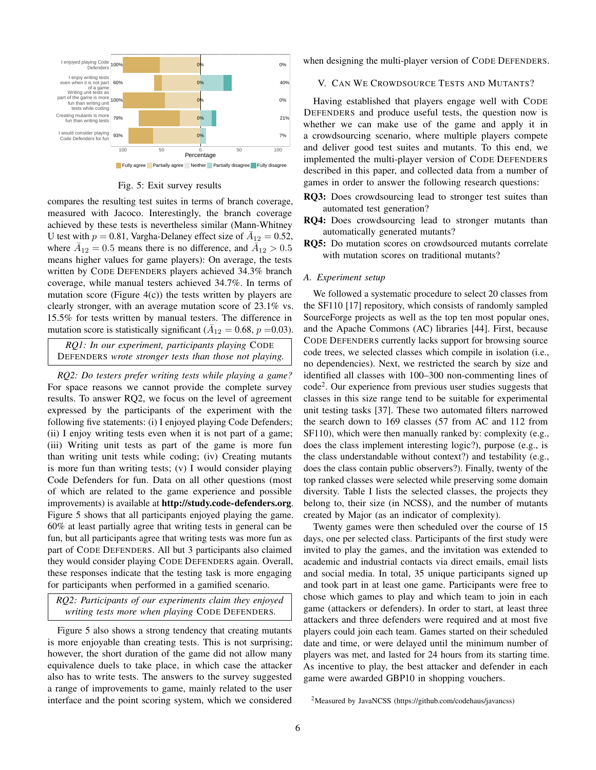<span id="page-5-0"></span>

Fig. 5: Exit survey results

compares the resulting test suites in terms of branch coverage, measured with Jacoco. Interestingly, the branch coverage achieved by these tests is nevertheless similar (Mann-Whitney U test with  $p = 0.81$ , Vargha-Delaney effect size of  $\bar{A}_{12} = 0.52$ , where  $\overline{A}_{12} = 0.5$  means there is no difference, and  $\overline{A}_{12} > 0.5$ means higher values for game players): On average, the tests written by CODE DEFENDERS players achieved 34.3% branch coverage, while manual testers achieved 34.7%. In terms of mutation score (Figure  $4(c)$ ) the tests written by players are clearly stronger, with an average mutation score of 23.1% vs. 15.5% for tests written by manual testers. The difference in mutation score is statistically significant ( $\bar{A}_{12} = 0.68$ ,  $p = 0.03$ ).

*RQ1: In our experiment, participants playing* CODE DEFENDERS *wrote stronger tests than those not playing.*

*RQ2: Do testers prefer writing tests while playing a game?* For space reasons we cannot provide the complete survey results. To answer RQ2, we focus on the level of agreement expressed by the participants of the experiment with the following five statements: (i) I enjoyed playing Code Defenders; (ii) I enjoy writing tests even when it is not part of a game; (iii) Writing unit tests as part of the game is more fun than writing unit tests while coding; (iv) Creating mutants is more fun than writing tests; (v) I would consider playing Code Defenders for fun. Data on all other questions (most of which are related to the game experience and possible improvements) is available at <http://study.code-defenders.org>. [Figure 5](#page-5-0) shows that all participants enjoyed playing the game. 60% at least partially agree that writing tests in general can be fun, but all participants agree that writing tests was more fun as part of CODE DEFENDERS. All but 3 participants also claimed they would consider playing CODE DEFENDERS again. Overall, these responses indicate that the testing task is more engaging for participants when performed in a gamified scenario.

*RQ2: Participants of our experiments claim they enjoyed writing tests more when playing* CODE DEFENDERS*.*

[Figure 5](#page-5-0) also shows a strong tendency that creating mutants is more enjoyable than creating tests. This is not surprising; however, the short duration of the game did not allow many equivalence duels to take place, in which case the attacker also has to write tests. The answers to the survey suggested a range of improvements to game, mainly related to the user interface and the point scoring system, which we considered when designing the multi-player version of CODE DEFENDERS.

## V. CAN WE CROWDSOURCE TESTS AND MUTANTS?

Having established that players engage well with CODE DEFENDERS and produce useful tests, the question now is whether we can make use of the game and apply it in a crowdsourcing scenario, where multiple players compete and deliver good test suites and mutants. To this end, we implemented the multi-player version of CODE DEFENDERS described in this paper, and collected data from a number of games in order to answer the following research questions:

- RQ3: Does crowdsourcing lead to stronger test suites than automated test generation?
- RQ4: Does crowdsourcing lead to stronger mutants than automatically generated mutants?
- RQ5: Do mutation scores on crowdsourced mutants correlate with mutation scores on traditional mutants?

## *A. Experiment setup*

We followed a systematic procedure to select 20 classes from the SF110 [\[17\]](#page-10-18) repository, which consists of randomly sampled SourceForge projects as well as the top ten most popular ones, and the Apache Commons (AC) libraries [\[44\]](#page-11-15). First, because CODE DEFENDERS currently lacks support for browsing source code trees, we selected classes which compile in isolation (i.e., no dependencies). Next, we restricted the search by size and identified all classes with 100–300 non-commenting lines of code[2](#page-5-1) . Our experience from previous user studies suggests that classes in this size range tend to be suitable for experimental unit testing tasks [\[37\]](#page-11-16). These two automated filters narrowed the search down to 169 classes (57 from AC and 112 from SF110), which were then manually ranked by: complexity (e.g., does the class implement interesting logic?), purpose (e.g., is the class understandable without context?) and testability (e.g., does the class contain public observers?). Finally, twenty of the top ranked classes were selected while preserving some domain diversity. [Table I](#page-6-0) lists the selected classes, the projects they belong to, their size (in NCSS), and the number of mutants created by Major (as an indicator of complexity).

Twenty games were then scheduled over the course of 15 days, one per selected class. Participants of the first study were invited to play the games, and the invitation was extended to academic and industrial contacts via direct emails, email lists and social media. In total, 35 unique participants signed up and took part in at least one game. Participants were free to chose which games to play and which team to join in each game (attackers or defenders). In order to start, at least three attackers and three defenders were required and at most five players could join each team. Games started on their scheduled date and time, or were delayed until the minimum number of players was met, and lasted for 24 hours from its starting time. As incentive to play, the best attacker and defender in each game were awarded GBP10 in shopping vouchers.

<span id="page-5-1"></span><sup>2</sup>Measured by JavaNCSS (https://github.com/codehaus/javancss)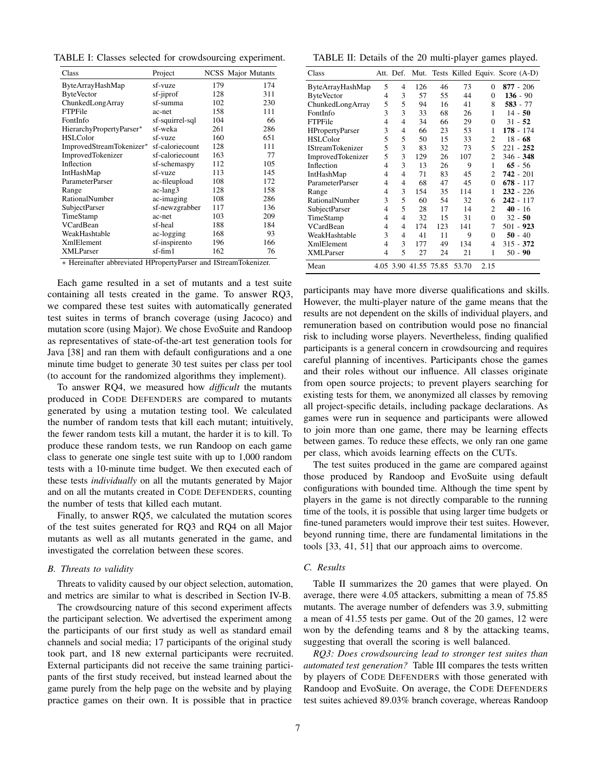<span id="page-6-0"></span>TABLE I: Classes selected for crowdsourcing experiment.

| Class                                                                                                | Project                 |              | <b>NCSS</b> Major Mutants |
|------------------------------------------------------------------------------------------------------|-------------------------|--------------|---------------------------|
| ByteArrayHashMap                                                                                     | sf-vuze                 | 179          | 174                       |
| <b>ByteVector</b>                                                                                    | sf-jiprof               | 128          | 311                       |
| ChunkedLongArray                                                                                     | sf-summa                | 102          | 230                       |
| <b>FTPFile</b>                                                                                       | ac-net                  | 158          | 111                       |
| FontInfo                                                                                             | sf-squirrel-sql         | 104          | 66                        |
| HierarchyPropertyParser*                                                                             | sf-weka                 | 261          | 286                       |
| <b>HSLColor</b>                                                                                      | sf-vuze                 | 160          | 651                       |
| ImprovedStreamTokenizer*                                                                             | sf-caloriecount         | 128          | 111                       |
| ImprovedTokenizer                                                                                    | sf-caloriecount         | 163          | 77                        |
| Inflection                                                                                           | sf-schemaspy            | 112          | 105                       |
| IntHashMap                                                                                           | sf-vuze                 | 113          | 145                       |
| <b>ParameterParser</b>                                                                               | ac-fileupload           | 108          | 172                       |
| Range                                                                                                | ac-lang3                | 128          | 158                       |
| RationalNumber                                                                                       | ac-imaging              | 108          | 286                       |
| <b>SubjectParser</b>                                                                                 | sf-newzgrabber          | 117          | 136                       |
| TimeStamp                                                                                            | ac-net                  | 103          | 209                       |
| VCardBean                                                                                            | sf-heal                 | 188          | 184                       |
| WeakHashtable                                                                                        | ac-logging              | 168          | 93                        |
| <b>XmlElement</b>                                                                                    | sf-inspirento           | 196          | 166                       |
| <b>XMLParser</b><br>$\cdot$ $\cdot$<br>$\overline{1}$<br>$\cdot$ .<br><b>TT</b><br>1.7T <sub>D</sub> | sf-fim1<br>$\mathbf{r}$ | 162<br>1.70. | 76<br>$\cdot$<br>$m + 1$  |

∗ Hereinafter abbreviated HPropertyParser and IStreamTokenizer.

Each game resulted in a set of mutants and a test suite containing all tests created in the game. To answer RQ3, we compared these test suites with automatically generated test suites in terms of branch coverage (using Jacoco) and mutation score (using Major). We chose EvoSuite and Randoop as representatives of state-of-the-art test generation tools for Java [\[38\]](#page-11-2) and ran them with default configurations and a one minute time budget to generate 30 test suites per class per tool (to account for the randomized algorithms they implement).

To answer RQ4, we measured how *difficult* the mutants produced in CODE DEFENDERS are compared to mutants generated by using a mutation testing tool. We calculated the number of random tests that kill each mutant; intuitively, the fewer random tests kill a mutant, the harder it is to kill. To produce these random tests, we run Randoop on each game class to generate one single test suite with up to 1,000 random tests with a 10-minute time budget. We then executed each of these tests *individually* on all the mutants generated by Major and on all the mutants created in CODE DEFENDERS, counting the number of tests that killed each mutant.

Finally, to answer RQ5, we calculated the mutation scores of the test suites generated for RQ3 and RQ4 on all Major mutants as well as all mutants generated in the game, and investigated the correlation between these scores.

#### *B. Threats to validity*

Threats to validity caused by our object selection, automation, and metrics are similar to what is described in Section [IV-B.](#page-4-4)

The crowdsourcing nature of this second experiment affects the participant selection. We advertised the experiment among the participants of our first study as well as standard email channels and social media; 17 participants of the original study took part, and 18 new external participants were recruited. External participants did not receive the same training participants of the first study received, but instead learned about the game purely from the help page on the website and by playing practice games on their own. It is possible that in practice

<span id="page-6-1"></span>TABLE II: Details of the 20 multi-player games played.

| Class                   |                |   |                       |     |       |                | Att. Def. Mut. Tests Killed Equiv. Score (A-D) |
|-------------------------|----------------|---|-----------------------|-----|-------|----------------|------------------------------------------------|
| ByteArrayHashMap        | 5              | 4 | 126                   | 46  | 73    | $\Omega$       | $877 - 206$                                    |
| <b>ByteVector</b>       | $\overline{4}$ | 3 | 57                    | 55  | 44    | $\Omega$       | $136 - 90$                                     |
| ChunkedLongArray        | 5              | 5 | 94                    | 16  | 41    | 8              | $583 - 77$                                     |
| FontInfo                | 3              | 3 | 33                    | 68  | 26    | 1              | $14 - 50$                                      |
| FTPFile                 | 4              | 4 | 34                    | 66  | 29    | $\theta$       | $31 - 52$                                      |
| <b>HPropertyParser</b>  | 3              | 4 | 66                    | 23  | 53    | 1              | $178 - 174$                                    |
| <b>HSLColor</b>         | 5              | 5 | 50                    | 15  | 33    | 2              | $18 - 68$                                      |
| <b>IStreamTokenizer</b> | 5              | 3 | 83                    | 32  | 73    | 5              | $221 - 252$                                    |
| ImprovedTokenizer       | 5              | 3 | 129                   | 26  | 107   | 2              | $346 - 348$                                    |
| Inflection              | $\overline{4}$ | 3 | 13                    | 26  | 9     | 1              | $65 - 56$                                      |
| IntHashMap              | 4              | 4 | 71                    | 83  | 45    | $\overline{c}$ | $742 - 201$                                    |
| <b>ParameterParser</b>  | 4              | 4 | 68                    | 47  | 45    | $\theta$       | $678 - 117$                                    |
| Range                   | 4              | 3 | 154                   | 35  | 114   | 1              | $232 - 226$                                    |
| <b>RationalNumber</b>   | 3              | 5 | 60                    | 54  | 32    | 6              | $242 - 117$                                    |
| <b>SubjectParser</b>    | 4              | 5 | 28                    | 17  | 14    | 2              | $40 - 16$                                      |
| TimeStamp               | 4              | 4 | 32                    | 15  | 31    | $\theta$       | $32 - 50$                                      |
| VCardBean               | 4              | 4 | 174                   | 123 | 141   | 7              | $501 - 923$                                    |
| WeakHashtable           | 3              | 4 | 41                    | 11  | 9     | $\Omega$       | $50 - 40$                                      |
| <b>XmlElement</b>       | $\overline{4}$ | 3 | 177                   | 49  | 134   | $\overline{4}$ | $315 - 372$                                    |
| <b>XMLParser</b>        | $\overline{4}$ | 5 | 27                    | 24  | 21    | 1              | $50 - 90$                                      |
| Mean                    |                |   | 4.05 3.90 41.55 75.85 |     | 53.70 | 2.15           |                                                |

participants may have more diverse qualifications and skills. However, the multi-player nature of the game means that the results are not dependent on the skills of individual players, and remuneration based on contribution would pose no financial risk to including worse players. Nevertheless, finding qualified participants is a general concern in crowdsourcing and requires careful planning of incentives. Participants chose the games and their roles without our influence. All classes originate from open source projects; to prevent players searching for existing tests for them, we anonymized all classes by removing all project-specific details, including package declarations. As games were run in sequence and participants were allowed to join more than one game, there may be learning effects between games. To reduce these effects, we only ran one game per class, which avoids learning effects on the CUTs.

The test suites produced in the game are compared against those produced by Randoop and EvoSuite using default configurations with bounded time. Although the time spent by players in the game is not directly comparable to the running time of the tools, it is possible that using larger time budgets or fine-tuned parameters would improve their test suites. However, beyond running time, there are fundamental limitations in the tools [\[33,](#page-11-5) [41,](#page-11-4) [51\]](#page-11-3) that our approach aims to overcome.

## *C. Results*

[Table II](#page-6-1) summarizes the 20 games that were played. On average, there were 4.05 attackers, submitting a mean of 75.85 mutants. The average number of defenders was 3.9, submitting a mean of 41.55 tests per game. Out of the 20 games, 12 were won by the defending teams and 8 by the attacking teams, suggesting that overall the scoring is well balanced.

*RQ3: Does crowdsourcing lead to stronger test suites than automated test generation?* [Table III](#page-7-0) compares the tests written by players of CODE DEFENDERS with those generated with Randoop and EvoSuite. On average, the CODE DEFENDERS test suites achieved 89.03% branch coverage, whereas Randoop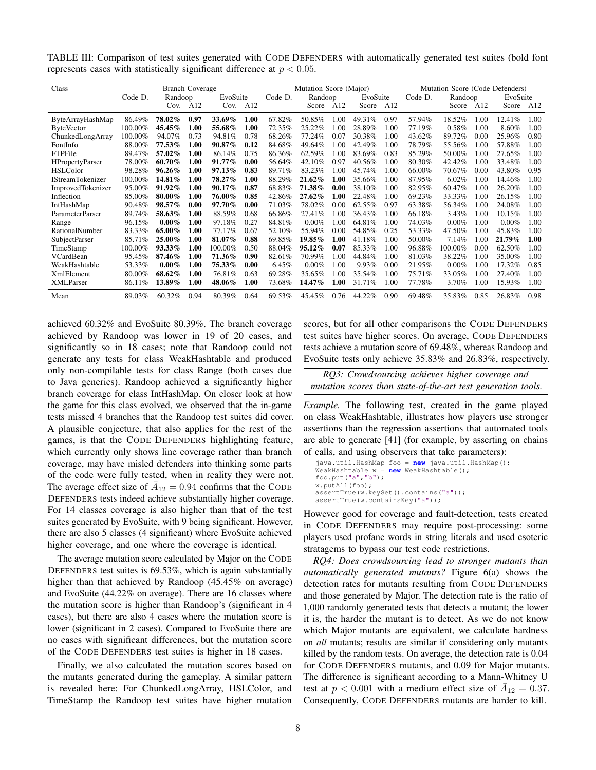| Class                   | <b>Branch Coverage</b> |           |      |          |      | Mutation Score (Major) |          |      |          |      | Mutation Score (Code Defenders) |          |      |          |      |
|-------------------------|------------------------|-----------|------|----------|------|------------------------|----------|------|----------|------|---------------------------------|----------|------|----------|------|
|                         | Code D.                | Randoop   |      | EvoSuite |      | Code D.                | Randoop  |      | EvoSuite |      | Code D.                         | Randoop  |      | EvoSuite |      |
|                         |                        | Cov.      | A12  | Cov.     | A12  |                        | Score    | A12  | Score    | A12  |                                 | Score    | A12  | Score    | A12  |
| ByteArrayHashMap        | 86.49%                 | 78.02%    | 0.97 | 33.69%   | 1.00 | 67.82%                 | 50.85%   | 1.00 | 49.31%   | 0.97 | 57.94%                          | 18.52%   | 1.00 | 12.41%   | 1.00 |
| <b>ByteVector</b>       | 100.00%                | 45.45%    | 1.00 | 55.68%   | 1.00 | 72.35%                 | 25.22%   | 1.00 | 28.89%   | 1.00 | 77.19%                          | 0.58%    | 1.00 | 8.60%    | 1.00 |
| ChunkedLongArray        | 100.00%                | 94.07%    | 0.73 | 94.81%   | 0.78 | 68.26%                 | 77.24%   | 0.07 | 30.38%   | 1.00 | 43.62%                          | 89.72%   | 0.00 | 25.96%   | 0.80 |
| FontInfo                | 88.00%                 | 77.53%    | 1.00 | 90.87%   | 0.12 | 84.68%                 | 49.64%   | 1.00 | 42.49%   | 1.00 | 78.79%                          | 55.56%   | 1.00 | 57.88%   | 1.00 |
| FTPFile                 | 89.47%                 | 57.02%    | 1.00 | 86.14%   | 0.75 | 86.36%                 | 62.59%   | 1.00 | 83.69%   | 0.83 | 85.29%                          | 50.00%   | 1.00 | 27.65%   | 1.00 |
| <b>HPropertyParser</b>  | 78.00%                 | 60.70%    | 1.00 | 91.77%   | 0.00 | 56.64%                 | 42.10%   | 0.97 | 40.56%   | 1.00 | 80.30%                          | 42.42%   | 1.00 | 33.48%   | 1.00 |
| <b>HSLColor</b>         | 98.28%                 | $96.26\%$ | 1.00 | 97.13%   | 0.83 | 89.71%                 | 83.23%   | 1.00 | 45.74%   | 1.00 | 66.00%                          | 70.67%   | 0.00 | 43.80%   | 0.95 |
| <b>IStreamTokenizer</b> | 100.00%                | 14.81%    | 1.00 | 78.27%   | 1.00 | 88.29%                 | 21.62%   | 1.00 | 35.66%   | 1.00 | 87.95%                          | 6.02%    | 1.00 | 14.46%   | 1.00 |
| ImprovedTokenizer       | 95.00%                 | 91.92%    | 1.00 | 90.17%   | 0.87 | 68.83%                 | 71.38%   | 0.00 | 38.10%   | 1.00 | 82.95%                          | 60.47%   | 1.00 | 26.20%   | 1.00 |
| Inflection              | 85.00%                 | 80.00%    | 1.00 | 76.00%   | 0.85 | 42.86%                 | 27.62%   | 1.00 | 22.48%   | 1.00 | 69.23%                          | 33.33%   | 1.00 | 26.15%   | 1.00 |
| IntHashMap              | 90.48%                 | 98.57%    | 0.00 | 97.70%   | 0.00 | 71.03%                 | 78.02%   | 0.00 | 62.55%   | 0.97 | 63.38%                          | 56.34%   | 1.00 | 24.08%   | 1.00 |
| ParameterParser         | 89.74%                 | 58.63%    | 1.00 | 88.59%   | 0.68 | 66.86%                 | 27.41%   | 1.00 | 36.43%   | 1.00 | 66.18%                          | 3.43%    | 1.00 | 10.15%   | 1.00 |
| Range                   | 96.15%                 | $0.00\%$  | 1.00 | 97.18%   | 0.27 | 84.81%                 | $0.00\%$ | 1.00 | 64.81%   | 1.00 | 74.03%                          | $0.00\%$ | 1.00 | $0.00\%$ | 1.00 |
| RationalNumber          | 83.33%                 | 65.00%    | 1.00 | 77.17%   | 0.67 | 52.10%                 | 55.94%   | 0.00 | 54.85%   | 0.25 | 53.33%                          | 47.50%   | 1.00 | 45.83%   | 1.00 |
| <b>SubjectParser</b>    | 85.71%                 | 25.00%    | 1.00 | 81.07%   | 0.88 | 69.85%                 | 19.85%   | 1.00 | 41.18%   | 1.00 | 50.00%                          | 7.14%    | 1.00 | 21.79%   | 1.00 |
| TimeStamp               | 100.00%                | 93.33%    | 1.00 | 100.00%  | 0.50 | 88.04%                 | 95.12%   | 0.07 | 85.33%   | 1.00 | 96.88%                          | 100.00%  | 0.00 | 62.50%   | 1.00 |
| VCardBean               | 95.45%                 | 87.46%    | 1.00 | 71.36%   | 0.90 | 82.61%                 | 70.99%   | 1.00 | 44.84%   | 1.00 | 81.03%                          | 38.22%   | 1.00 | 35.00%   | 1.00 |
| WeakHashtable           | 53.33%                 | $0.00\%$  | 1.00 | 75.33%   | 0.00 | $6.45\%$               | $0.00\%$ | 1.00 | 9.93%    | 0.00 | 21.95%                          | $0.00\%$ | 1.00 | 17.32%   | 0.85 |
| <b>XmlElement</b>       | 80.00%                 | 68.62%    | 1.00 | 76.81%   | 0.63 | 69.28%                 | 35.65%   | 1.00 | 35.54%   | 1.00 | 75.71%                          | 33.05%   | 1.00 | 27.40%   | 1.00 |
| <b>XMLParser</b>        | 86.11%                 | 13.89%    | 1.00 | 48.06%   | 1.00 | 73.68%                 | 14.47%   | 1.00 | 31.71%   | 1.00 | 77.78%                          | 3.70%    | 1.00 | 15.93%   | 1.00 |
| Mean                    | 89.03%                 | 60.32%    | 0.94 | 80.39%   | 0.64 | 69.53%                 | 45.45%   | 0.76 | 44.22%   | 0.90 | 69.48%                          | 35.83%   | 0.85 | 26.83%   | 0.98 |

<span id="page-7-0"></span>TABLE III: Comparison of test suites generated with CODE DEFENDERS with automatically generated test suites (bold font represents cases with statistically significant difference at  $p < 0.05$ .

achieved 60.32% and EvoSuite 80.39%. The branch coverage achieved by Randoop was lower in 19 of 20 cases, and significantly so in 18 cases; note that Randoop could not generate any tests for class WeakHashtable and produced only non-compilable tests for class Range (both cases due to Java generics). Randoop achieved a significantly higher branch coverage for class IntHashMap. On closer look at how the game for this class evolved, we observed that the in-game tests missed 4 branches that the Randoop test suites did cover. A plausible conjecture, that also applies for the rest of the games, is that the CODE DEFENDERS highlighting feature, which currently only shows line coverage rather than branch coverage, may have misled defenders into thinking some parts of the code were fully tested, when in reality they were not. The average effect size of  $\overline{A}_{12} = 0.94$  confirms that the CODE DEFENDERS tests indeed achieve substantially higher coverage. For 14 classes coverage is also higher than that of the test suites generated by EvoSuite, with 9 being significant. However, there are also 5 classes (4 significant) where EvoSuite achieved higher coverage, and one where the coverage is identical.

The average mutation score calculated by Major on the CODE DEFENDERS test suites is 69.53%, which is again substantially higher than that achieved by Randoop (45.45% on average) and EvoSuite (44.22% on average). There are 16 classes where the mutation score is higher than Randoop's (significant in 4 cases), but there are also 4 cases where the mutation score is lower (significant in 2 cases). Compared to EvoSuite there are no cases with significant differences, but the mutation score of the CODE DEFENDERS test suites is higher in 18 cases.

Finally, we also calculated the mutation scores based on the mutants generated during the gameplay. A similar pattern is revealed here: For ChunkedLongArray, HSLColor, and TimeStamp the Randoop test suites have higher mutation scores, but for all other comparisons the CODE DEFENDERS test suites have higher scores. On average, CODE DEFENDERS tests achieve a mutation score of 69.48%, whereas Randoop and EvoSuite tests only achieve 35.83% and 26.83%, respectively.

*RQ3: Crowdsourcing achieves higher coverage and mutation scores than state-of-the-art test generation tools.*

*Example.* The following test, created in the game played on class WeakHashtable, illustrates how players use stronger assertions than the regression assertions that automated tools are able to generate [\[41\]](#page-11-4) (for example, by asserting on chains of calls, and using observers that take parameters):

```
java.util.HashMap foo = new java.util.HashMap();
WeakHashtable w = new WeakHashtable();
foo.put("a","b");
w.putAll(foo);
assertTrue(w.keySet().contains("a"));
assertTrue(w.containsKey("a"));
```
However good for coverage and fault-detection, tests created in CODE DEFENDERS may require post-processing: some players used profane words in string literals and used esoteric stratagems to bypass our test code restrictions.

*RQ4: Does crowdsourcing lead to stronger mutants than automatically generated mutants?* Figure [6\(a\)](#page-8-0) shows the detection rates for mutants resulting from CODE DEFENDERS and those generated by Major. The detection rate is the ratio of 1,000 randomly generated tests that detects a mutant; the lower it is, the harder the mutant is to detect. As we do not know which Major mutants are equivalent, we calculate hardness on *all* mutants; results are similar if considering only mutants killed by the random tests. On average, the detection rate is 0.04 for CODE DEFENDERS mutants, and 0.09 for Major mutants. The difference is significant according to a Mann-Whitney U test at  $p < 0.001$  with a medium effect size of  $\bar{A}_{12} = 0.37$ . Consequently, CODE DEFENDERS mutants are harder to kill.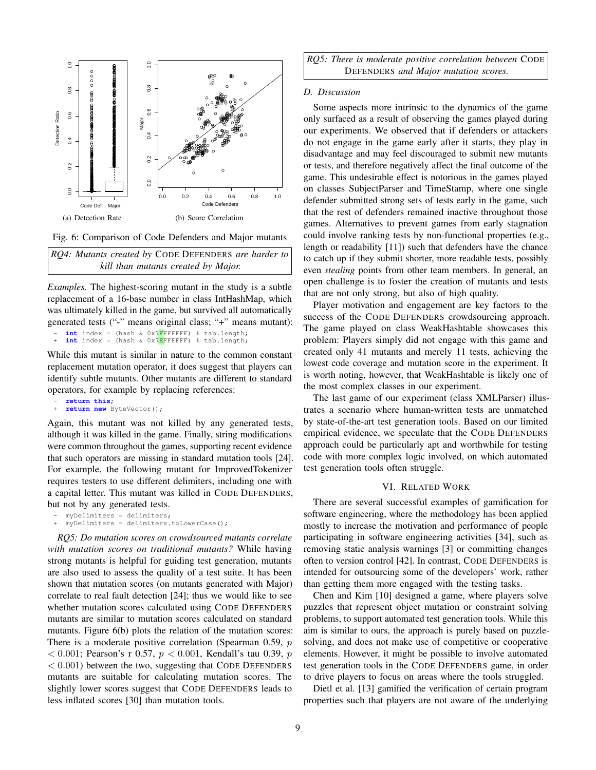<span id="page-8-0"></span>

<span id="page-8-1"></span>Fig. 6: Comparison of Code Defenders and Major mutants



*Examples.* The highest-scoring mutant in the study is a subtle replacement of a 16-base number in class IntHashMap, which was ultimately killed in the game, but survived all automatically generated tests ("-" means original class; "+" means mutant): int index = (hash & 0x7FFFFFFF) % tab.length; int index = (hash & 0x7EFFFFFF) % tab.length;

While this mutant is similar in nature to the common constant replacement mutation operator, it does suggest that players can identify subtle mutants. Other mutants are different to standard operators, for example by replacing references:

- **return this**;

```
return new ByteVector();
```
Again, this mutant was not killed by any generated tests, although it was killed in the game. Finally, string modifications were common throughout the games, supporting recent evidence that such operators are missing in standard mutation tools [\[24\]](#page-10-1). For example, the following mutant for ImprovedTokenizer requires testers to use different delimiters, including one with a capital letter. This mutant was killed in CODE DEFENDERS, but not by any generated tests.

```
- myDelimiters = delimiters;<br>+ myDelimiters = delimiters.
```
 $mp$  Delimiters = delimiters.toLowerCase();

*RQ5: Do mutation scores on crowdsourced mutants correlate with mutation scores on traditional mutants?* While having strong mutants is helpful for guiding test generation, mutants are also used to assess the quality of a test suite. It has been shown that mutation scores (on mutants generated with Major) correlate to real fault detection [\[24\]](#page-10-1); thus we would like to see whether mutation scores calculated using CODE DEFENDERS mutants are similar to mutation scores calculated on standard mutants. Figure [6\(b\)](#page-8-1) plots the relation of the mutation scores: There is a moderate positive correlation (Spearman 0.59, p  $< 0.001$ ; Pearson's r 0.57,  $p < 0.001$ , Kendall's tau 0.39, p  $< 0.001$ ) between the two, suggesting that CODE DEFENDERS mutants are suitable for calculating mutation scores. The slightly lower scores suggest that CODE DEFENDERS leads to less inflated scores [\[30\]](#page-11-6) than mutation tools.

*RQ5: There is moderate positive correlation between* CODE DEFENDERS *and Major mutation scores.*

#### *D. Discussion*

Some aspects more intrinsic to the dynamics of the game only surfaced as a result of observing the games played during our experiments. We observed that if defenders or attackers do not engage in the game early after it starts, they play in disadvantage and may feel discouraged to submit new mutants or tests, and therefore negatively affect the final outcome of the game. This undesirable effect is notorious in the games played on classes SubjectParser and TimeStamp, where one single defender submitted strong sets of tests early in the game, such that the rest of defenders remained inactive throughout those games. Alternatives to prevent games from early stagnation could involve ranking tests by non-functional properties (e.g., length or readability [\[11\]](#page-10-19)) such that defenders have the chance to catch up if they submit shorter, more readable tests, possibly even *stealing* points from other team members. In general, an open challenge is to foster the creation of mutants and tests that are not only strong, but also of high quality.

Player motivation and engagement are key factors to the success of the CODE DEFENDERS crowdsourcing approach. The game played on class WeakHashtable showcases this problem: Players simply did not engage with this game and created only 41 mutants and merely 11 tests, achieving the lowest code coverage and mutation score in the experiment. It is worth noting, however, that WeakHashtable is likely one of the most complex classes in our experiment.

The last game of our experiment (class XMLParser) illustrates a scenario where human-written tests are unmatched by state-of-the-art test generation tools. Based on our limited empirical evidence, we speculate that the CODE DEFENDERS approach could be particularly apt and worthwhile for testing code with more complex logic involved, on which automated test generation tools often struggle.

#### VI. RELATED WORK

There are several successful examples of gamification for software engineering, where the methodology has been applied mostly to increase the motivation and performance of people participating in software engineering activities [\[34\]](#page-11-11), such as removing static analysis warnings [\[3\]](#page-10-20) or committing changes often to version control [\[42\]](#page-11-17). In contrast, CODE DEFENDERS is intended for outsourcing some of the developers' work, rather than getting them more engaged with the testing tasks.

Chen and Kim [\[10\]](#page-10-21) designed a game, where players solve puzzles that represent object mutation or constraint solving problems, to support automated test generation tools. While this aim is similar to ours, the approach is purely based on puzzlesolving, and does not make use of competitive or cooperative elements. However, it might be possible to involve automated test generation tools in the CODE DEFENDERS game, in order to drive players to focus on areas where the tools struggled.

Dietl et al. [\[13\]](#page-10-22) gamified the verification of certain program properties such that players are not aware of the underlying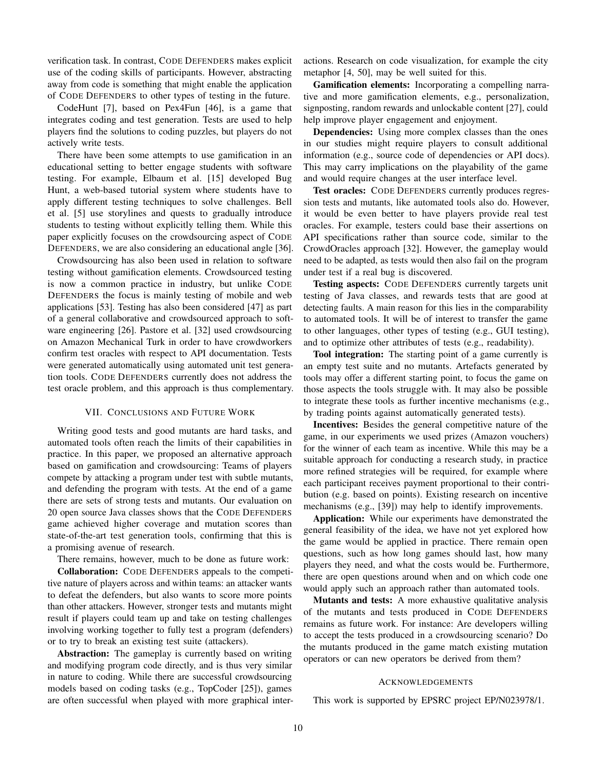verification task. In contrast, CODE DEFENDERS makes explicit use of the coding skills of participants. However, abstracting away from code is something that might enable the application of CODE DEFENDERS to other types of testing in the future.

CodeHunt [\[7\]](#page-10-23), based on Pex4Fun [\[46\]](#page-11-18), is a game that integrates coding and test generation. Tests are used to help players find the solutions to coding puzzles, but players do not actively write tests.

There have been some attempts to use gamification in an educational setting to better engage students with software testing. For example, Elbaum et al. [\[15\]](#page-10-24) developed Bug Hunt, a web-based tutorial system where students have to apply different testing techniques to solve challenges. Bell et al. [\[5\]](#page-10-25) use storylines and quests to gradually introduce students to testing without explicitly telling them. While this paper explicitly focuses on the crowdsourcing aspect of CODE DEFENDERS, we are also considering an educational angle [\[36\]](#page-11-0).

Crowdsourcing has also been used in relation to software testing without gamification elements. Crowdsourced testing is now a common practice in industry, but unlike CODE DEFENDERS the focus is mainly testing of mobile and web applications [\[53\]](#page-11-19). Testing has also been considered [\[47\]](#page-11-20) as part of a general collaborative and crowdsourced approach to software engineering [\[26\]](#page-10-14). Pastore et al. [\[32\]](#page-11-21) used crowdsourcing on Amazon Mechanical Turk in order to have crowdworkers confirm test oracles with respect to API documentation. Tests were generated automatically using automated unit test generation tools. CODE DEFENDERS currently does not address the test oracle problem, and this approach is thus complementary.

## VII. CONCLUSIONS AND FUTURE WORK

Writing good tests and good mutants are hard tasks, and automated tools often reach the limits of their capabilities in practice. In this paper, we proposed an alternative approach based on gamification and crowdsourcing: Teams of players compete by attacking a program under test with subtle mutants, and defending the program with tests. At the end of a game there are sets of strong tests and mutants. Our evaluation on 20 open source Java classes shows that the CODE DEFENDERS game achieved higher coverage and mutation scores than state-of-the-art test generation tools, confirming that this is a promising avenue of research.

There remains, however, much to be done as future work: Collaboration: CODE DEFENDERS appeals to the competitive nature of players across and within teams: an attacker wants to defeat the defenders, but also wants to score more points than other attackers. However, stronger tests and mutants might result if players could team up and take on testing challenges involving working together to fully test a program (defenders) or to try to break an existing test suite (attackers).

Abstraction: The gameplay is currently based on writing and modifying program code directly, and is thus very similar in nature to coding. While there are successful crowdsourcing models based on coding tasks (e.g., TopCoder [\[25\]](#page-10-26)), games are often successful when played with more graphical interactions. Research on code visualization, for example the city metaphor [\[4,](#page-10-27) [50\]](#page-11-22), may be well suited for this.

Gamification elements: Incorporating a compelling narrative and more gamification elements, e.g., personalization, signposting, random rewards and unlockable content [\[27\]](#page-10-28), could help improve player engagement and enjoyment.

Dependencies: Using more complex classes than the ones in our studies might require players to consult additional information (e.g., source code of dependencies or API docs). This may carry implications on the playability of the game and would require changes at the user interface level.

Test oracles: CODE DEFENDERS currently produces regression tests and mutants, like automated tools also do. However, it would be even better to have players provide real test oracles. For example, testers could base their assertions on API specifications rather than source code, similar to the CrowdOracles approach [\[32\]](#page-11-21). However, the gameplay would need to be adapted, as tests would then also fail on the program under test if a real bug is discovered.

Testing aspects: CODE DEFENDERS currently targets unit testing of Java classes, and rewards tests that are good at detecting faults. A main reason for this lies in the comparability to automated tools. It will be of interest to transfer the game to other languages, other types of testing (e.g., GUI testing), and to optimize other attributes of tests (e.g., readability).

Tool integration: The starting point of a game currently is an empty test suite and no mutants. Artefacts generated by tools may offer a different starting point, to focus the game on those aspects the tools struggle with. It may also be possible to integrate these tools as further incentive mechanisms (e.g., by trading points against automatically generated tests).

Incentives: Besides the general competitive nature of the game, in our experiments we used prizes (Amazon vouchers) for the winner of each team as incentive. While this may be a suitable approach for conducting a research study, in practice more refined strategies will be required, for example where each participant receives payment proportional to their contribution (e.g. based on points). Existing research on incentive mechanisms (e.g., [\[39\]](#page-11-23)) may help to identify improvements.

Application: While our experiments have demonstrated the general feasibility of the idea, we have not yet explored how the game would be applied in practice. There remain open questions, such as how long games should last, how many players they need, and what the costs would be. Furthermore, there are open questions around when and on which code one would apply such an approach rather than automated tools.

**Mutants and tests:** A more exhaustive qualitative analysis of the mutants and tests produced in CODE DEFENDERS remains as future work. For instance: Are developers willing to accept the tests produced in a crowdsourcing scenario? Do the mutants produced in the game match existing mutation operators or can new operators be derived from them?

#### ACKNOWLEDGEMENTS

This work is supported by EPSRC project EP/N023978/1.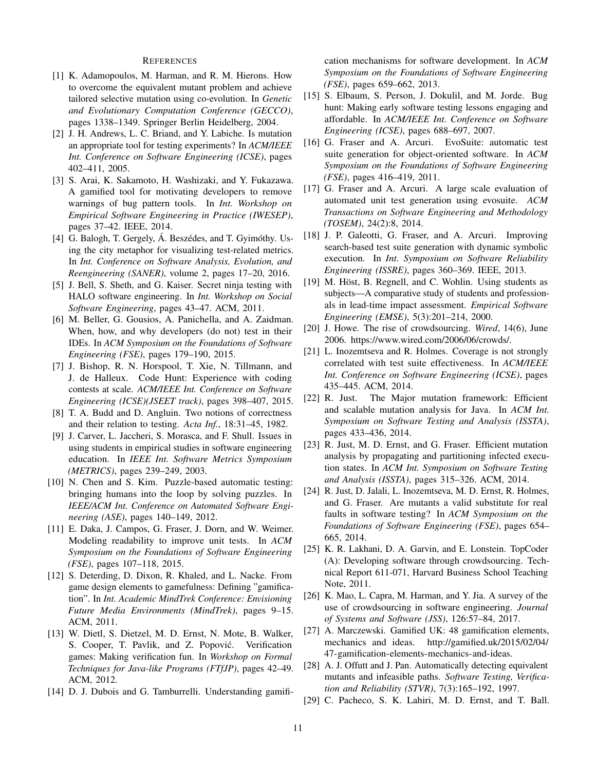#### REFERENCES

- <span id="page-10-13"></span>[1] K. Adamopoulos, M. Harman, and R. M. Hierons. How to overcome the equivalent mutant problem and achieve tailored selective mutation using co-evolution. In *Genetic and Evolutionary Computation Conference (GECCO)*, pages 1338–1349. Springer Berlin Heidelberg, 2004.
- <span id="page-10-9"></span>[2] J. H. Andrews, L. C. Briand, and Y. Labiche. Is mutation an appropriate tool for testing experiments? In *ACM/IEEE Int. Conference on Software Engineering (ICSE)*, pages 402–411, 2005.
- <span id="page-10-20"></span>[3] S. Arai, K. Sakamoto, H. Washizaki, and Y. Fukazawa. A gamified tool for motivating developers to remove warnings of bug pattern tools. In *Int. Workshop on Empirical Software Engineering in Practice (IWESEP)*, pages 37–42. IEEE, 2014.
- <span id="page-10-27"></span>[4] G. Balogh, T. Gergely,  $\dot{A}$ . Beszédes, and T. Gyimóthy. Using the city metaphor for visualizing test-related metrics. In *Int. Conference on Software Analysis, Evolution, and Reengineering (SANER)*, volume 2, pages 17–20, 2016.
- <span id="page-10-25"></span>[5] J. Bell, S. Sheth, and G. Kaiser. Secret ninja testing with HALO software engineering. In *Int. Workshop on Social Software Engineering*, pages 43–47. ACM, 2011.
- <span id="page-10-2"></span>[6] M. Beller, G. Gousios, A. Panichella, and A. Zaidman. When, how, and why developers (do not) test in their IDEs. In *ACM Symposium on the Foundations of Software Engineering (FSE)*, pages 179–190, 2015.
- <span id="page-10-23"></span>[7] J. Bishop, R. N. Horspool, T. Xie, N. Tillmann, and J. de Halleux. Code Hunt: Experience with coding contests at scale. *ACM/IEEE Int. Conference on Software Engineering (ICSE)(JSEET track)*, pages 398–407, 2015.
- <span id="page-10-11"></span>[8] T. A. Budd and D. Angluin. Two notions of correctness and their relation to testing. *Acta Inf.*, 18:31–45, 1982.
- <span id="page-10-16"></span>[9] J. Carver, L. Jaccheri, S. Morasca, and F. Shull. Issues in using students in empirical studies in software engineering education. In *IEEE Int. Software Metrics Symposium (METRICS)*, pages 239–249, 2003.
- <span id="page-10-21"></span>[10] N. Chen and S. Kim. Puzzle-based automatic testing: bringing humans into the loop by solving puzzles. In *IEEE/ACM Int. Conference on Automated Software Engineering (ASE)*, pages 140–149, 2012.
- <span id="page-10-19"></span>[11] E. Daka, J. Campos, G. Fraser, J. Dorn, and W. Weimer. Modeling readability to improve unit tests. In *ACM Symposium on the Foundations of Software Engineering (FSE)*, pages 107–118, 2015.
- <span id="page-10-3"></span>[12] S. Deterding, D. Dixon, R. Khaled, and L. Nacke. From game design elements to gamefulness: Defining "gamification". In *Int. Academic MindTrek Conference: Envisioning Future Media Environments (MindTrek)*, pages 9–15. ACM, 2011.
- <span id="page-10-22"></span>[13] W. Dietl, S. Dietzel, M. D. Ernst, N. Mote, B. Walker, S. Cooper, T. Pavlik, and Z. Popović. Verification games: Making verification fun. In *Workshop on Formal Techniques for Java-like Programs (FTfJP)*, pages 42–49. ACM, 2012.
- <span id="page-10-15"></span>[14] D. J. Dubois and G. Tamburrelli. Understanding gamifi-

cation mechanisms for software development. In *ACM Symposium on the Foundations of Software Engineering (FSE)*, pages 659–662, 2013.

- <span id="page-10-24"></span>[15] S. Elbaum, S. Person, J. Dokulil, and M. Jorde. Bug hunt: Making early software testing lessons engaging and affordable. In *ACM/IEEE Int. Conference on Software Engineering (ICSE)*, pages 688–697, 2007.
- <span id="page-10-6"></span>[16] G. Fraser and A. Arcuri. EvoSuite: automatic test suite generation for object-oriented software. In *ACM Symposium on the Foundations of Software Engineering (FSE)*, pages 416–419, 2011.
- <span id="page-10-18"></span>[17] G. Fraser and A. Arcuri. A large scale evaluation of automated unit test generation using evosuite. *ACM Transactions on Software Engineering and Methodology (TOSEM)*, 24(2):8, 2014.
- <span id="page-10-8"></span>[18] J. P. Galeotti, G. Fraser, and A. Arcuri. Improving search-based test suite generation with dynamic symbolic execution. In *Int. Symposium on Software Reliability Engineering (ISSRE)*, pages 360–369. IEEE, 2013.
- <span id="page-10-17"></span>[19] M. Höst, B. Regnell, and C. Wohlin. Using students as subjects—A comparative study of students and professionals in lead-time impact assessment. *Empirical Software Engineering (EMSE)*, 5(3):201–214, 2000.
- <span id="page-10-4"></span>[20] J. Howe. The rise of crowdsourcing. *Wired*, 14(6), June 2006. [https://www.wired.com/2006/06/crowds/.](https://www.wired.com/2006/06/crowds/)
- <span id="page-10-0"></span>[21] L. Inozemtseva and R. Holmes. Coverage is not strongly correlated with test suite effectiveness. In *ACM/IEEE Int. Conference on Software Engineering (ICSE)*, pages 435–445. ACM, 2014.
- <span id="page-10-7"></span>[22] R. Just. The Major mutation framework: Efficient and scalable mutation analysis for Java. In *ACM Int. Symposium on Software Testing and Analysis (ISSTA)*, pages 433–436, 2014.
- <span id="page-10-10"></span>[23] R. Just, M. D. Ernst, and G. Fraser. Efficient mutation analysis by propagating and partitioning infected execution states. In *ACM Int. Symposium on Software Testing and Analysis (ISSTA)*, pages 315–326. ACM, 2014.
- <span id="page-10-1"></span>[24] R. Just, D. Jalali, L. Inozemtseva, M. D. Ernst, R. Holmes, and G. Fraser. Are mutants a valid substitute for real faults in software testing? In *ACM Symposium on the Foundations of Software Engineering (FSE)*, pages 654– 665, 2014.
- <span id="page-10-26"></span>[25] K. R. Lakhani, D. A. Garvin, and E. Lonstein. TopCoder (A): Developing software through crowdsourcing. Technical Report 611-071, Harvard Business School Teaching Note, 2011.
- <span id="page-10-14"></span>[26] K. Mao, L. Capra, M. Harman, and Y. Jia. A survey of the use of crowdsourcing in software engineering. *Journal of Systems and Software (JSS)*, 126:57–84, 2017.
- <span id="page-10-28"></span>[27] A. Marczewski. Gamified UK: 48 gamification elements, mechanics and ideas. [http://gamified.uk/2015/02/04/](http://gamified.uk/2015/02/04/47-gamification-elements-mechanics-and-ideas) [47-gamification-elements-mechanics-and-ideas.](http://gamified.uk/2015/02/04/47-gamification-elements-mechanics-and-ideas)
- <span id="page-10-12"></span>[28] A. J. Offutt and J. Pan. Automatically detecting equivalent mutants and infeasible paths. *Software Testing, Verification and Reliability (STVR)*, 7(3):165–192, 1997.
- <span id="page-10-5"></span>[29] C. Pacheco, S. K. Lahiri, M. D. Ernst, and T. Ball.